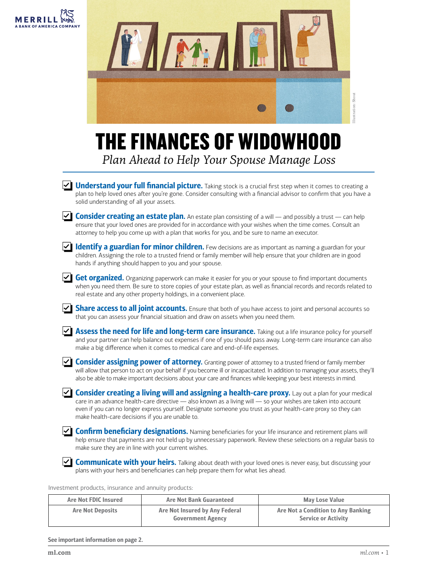



## THE FINANCES OF WIDOWHOOD *Plan Ahead to Help Your Spouse Manage Loss*

 $\vee$  Understand your full financial picture. Taking stock is a crucial first step when it comes to creating a plan to help loved ones after you're gone. Consider consulting with a financial advisor to confirm that you have a solid understanding of all your assets.



**Consider creating an estate plan.** An estate plan consisting of a will — and possibly a trust — can help ensure that your loved ones are provided for in accordance with your wishes when the time comes. Consult an attorney to help you come up with a plan that works for you, and be sure to name an executor.



 $\vee$  Identify a guardian for minor children. Few decisions are as important as naming a guardian for your children. Assigning the role to a trusted friend or family member will help ensure that your children are in good hands if anything should happen to you and your spouse.

 $\leq$  **Get organized.** Organizing paperwork can make it easier for you or your spouse to find important documents when you need them. Be sure to store copies of your estate plan, as well as financial records and records related to real estate and any other property holdings, in a convenient place.



 $\angle$  Assess the need for life and long-term care insurance. Taking out a life insurance policy for yourself and your partner can help balance out expenses if one of you should pass away. Long-term care insurance can also make a big difference when it comes to medical care and end-of-life expenses.

**Consider assigning power of attorney.** Granting power of attorney to a trusted friend or family member will allow that person to act on your behalf if you become ill or incapacitated. In addition to managing your assets, they'll also be able to make important decisions about your care and finances while keeping your best interests in mind.

**Consider creating a living will and assigning a health-care proxy.** Lay out a plan for your medical care in an advance health-care directive — also known as a living will — so your wishes are taken into account even if you can no longer express yourself. Designate someone you trust as your health-care proxy so they can make health-care decisions if you are unable to.

 $\vee$  Confirm beneficiary designations. Naming beneficiaries for your life insurance and retirement plans will help ensure that payments are not held up by unnecessary paperwork. Review these selections on a regular basis to make sure they are in line with your current wishes.

**Communicate with your heirs.** Talking about death with your loved ones is never easy, but discussing your plans with your heirs and beneficiaries can help prepare them for what lies ahead.

Investment products, insurance and annuity products:

| <b>Are Not FDIC Insured</b> | <b>Are Not Bank Guaranteed</b>                             | <b>May Lose Value</b>                                            |
|-----------------------------|------------------------------------------------------------|------------------------------------------------------------------|
| <b>Are Not Deposits</b>     | Are Not Insured by Any Federal<br><b>Government Agency</b> | Are Not a Condition to Any Banking<br><b>Service or Activity</b> |

See important information on page 2.